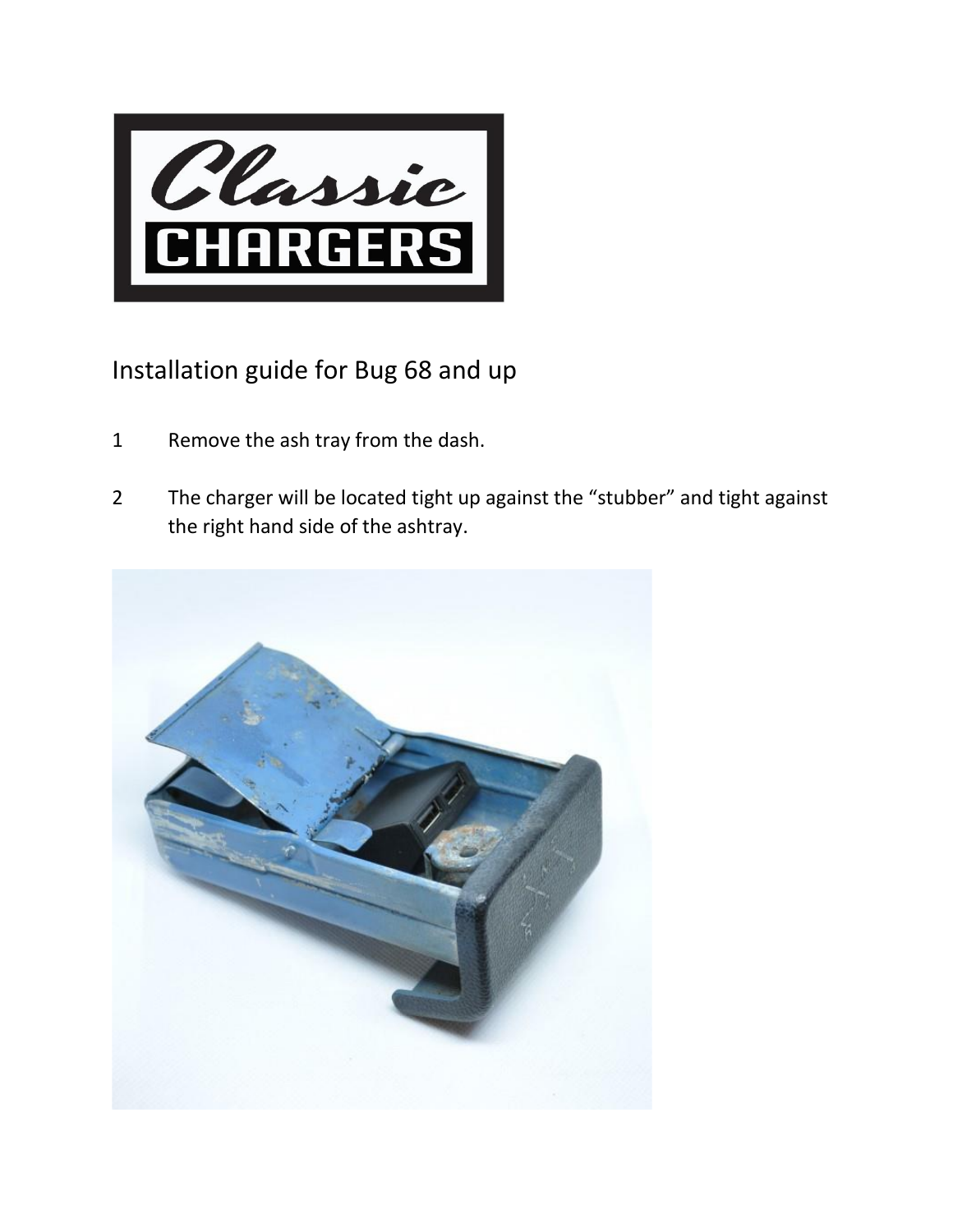

## Installation guide for Bug 68 and up

- 1 Remove the ash tray from the dash.
- 2 The charger will be located tight up against the "stubber" and tight against the right hand side of the ashtray.

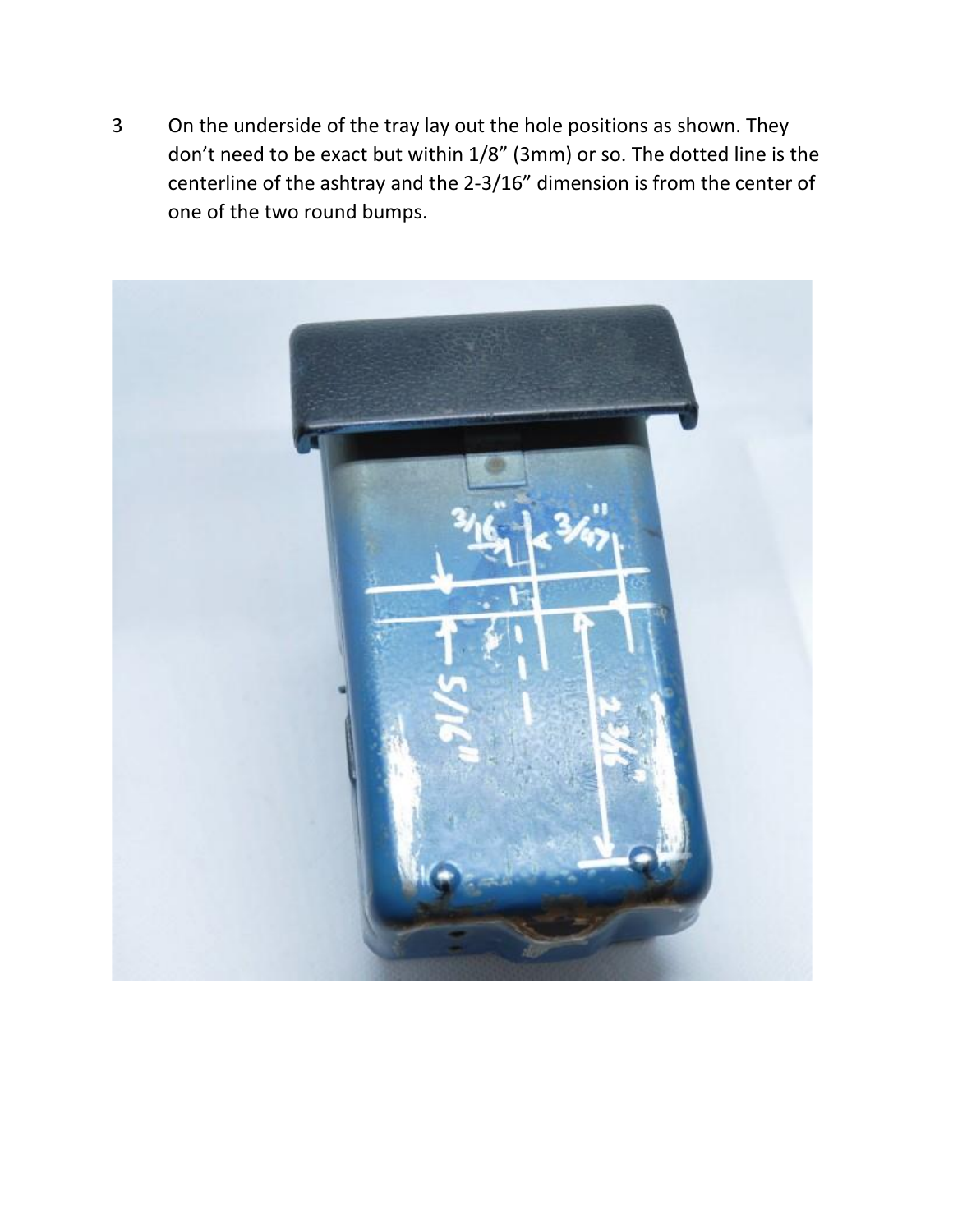3 On the underside of the tray lay out the hole positions as shown. They don't need to be exact but within 1/8" (3mm) or so. The dotted line is the centerline of the ashtray and the 2-3/16" dimension is from the center of one of the two round bumps.

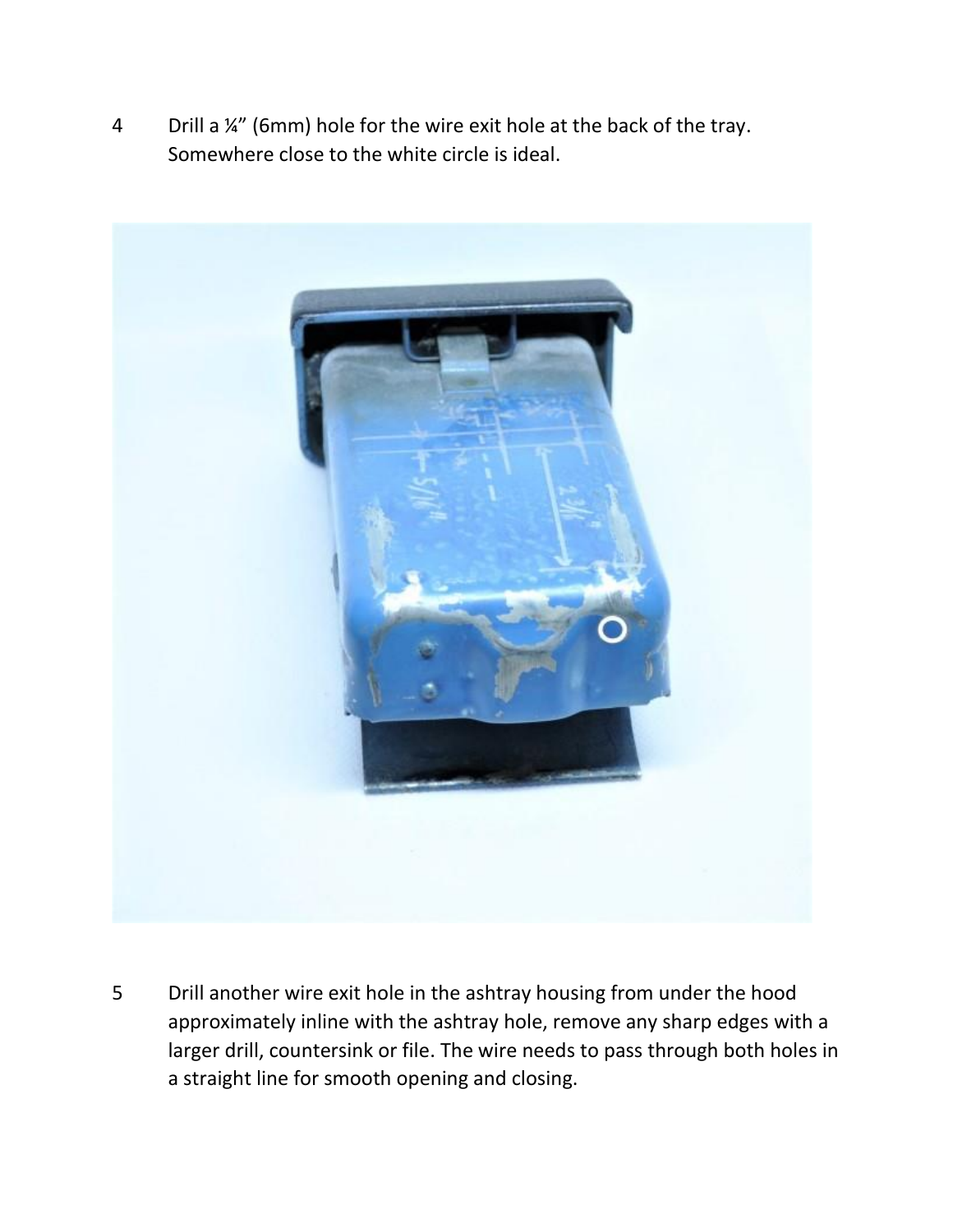4 Drill a ¼" (6mm) hole for the wire exit hole at the back of the tray. Somewhere close to the white circle is ideal.



5 Drill another wire exit hole in the ashtray housing from under the hood approximately inline with the ashtray hole, remove any sharp edges with a larger drill, countersink or file. The wire needs to pass through both holes in a straight line for smooth opening and closing.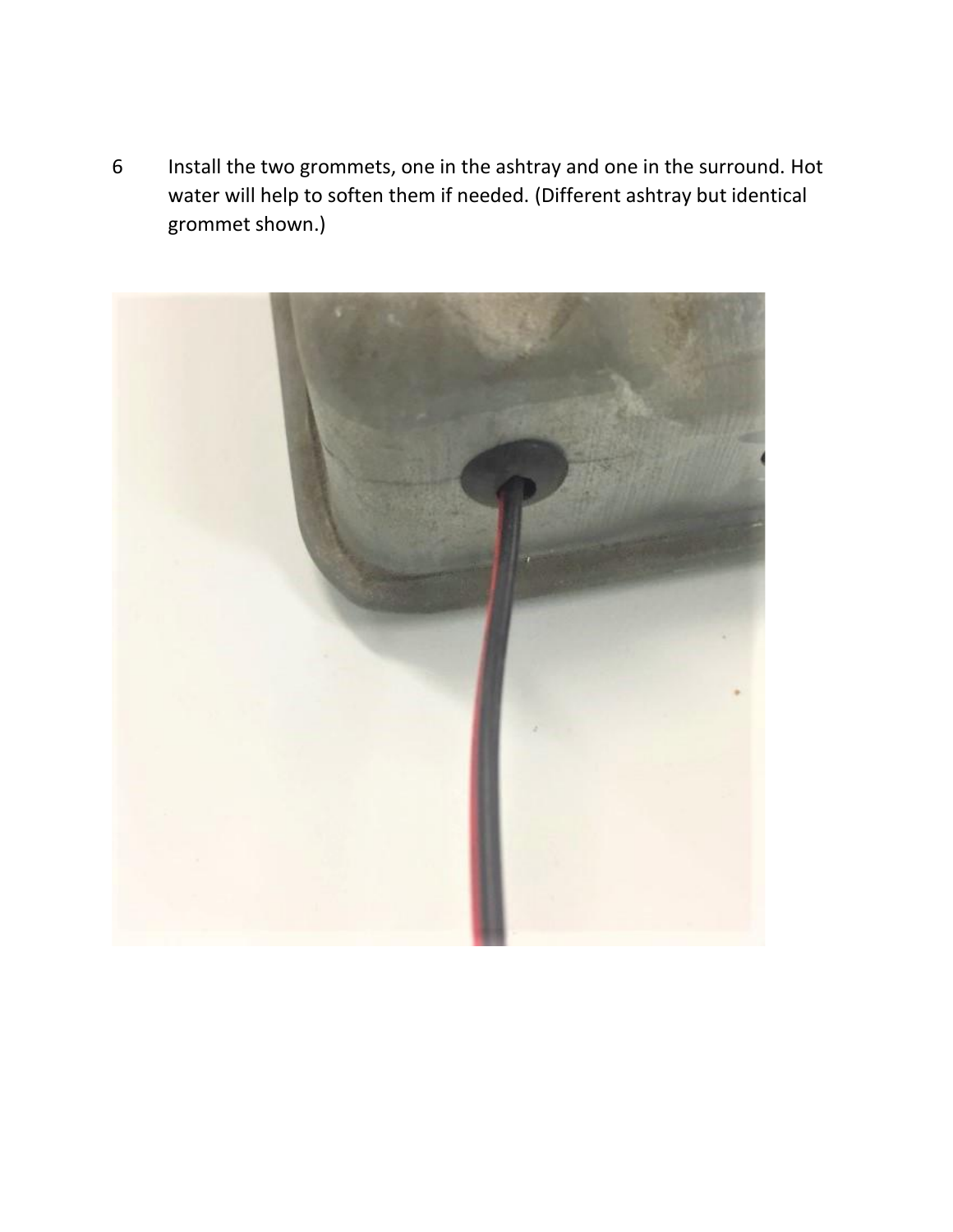6 Install the two grommets, one in the ashtray and one in the surround. Hot water will help to soften them if needed. (Different ashtray but identical grommet shown.)

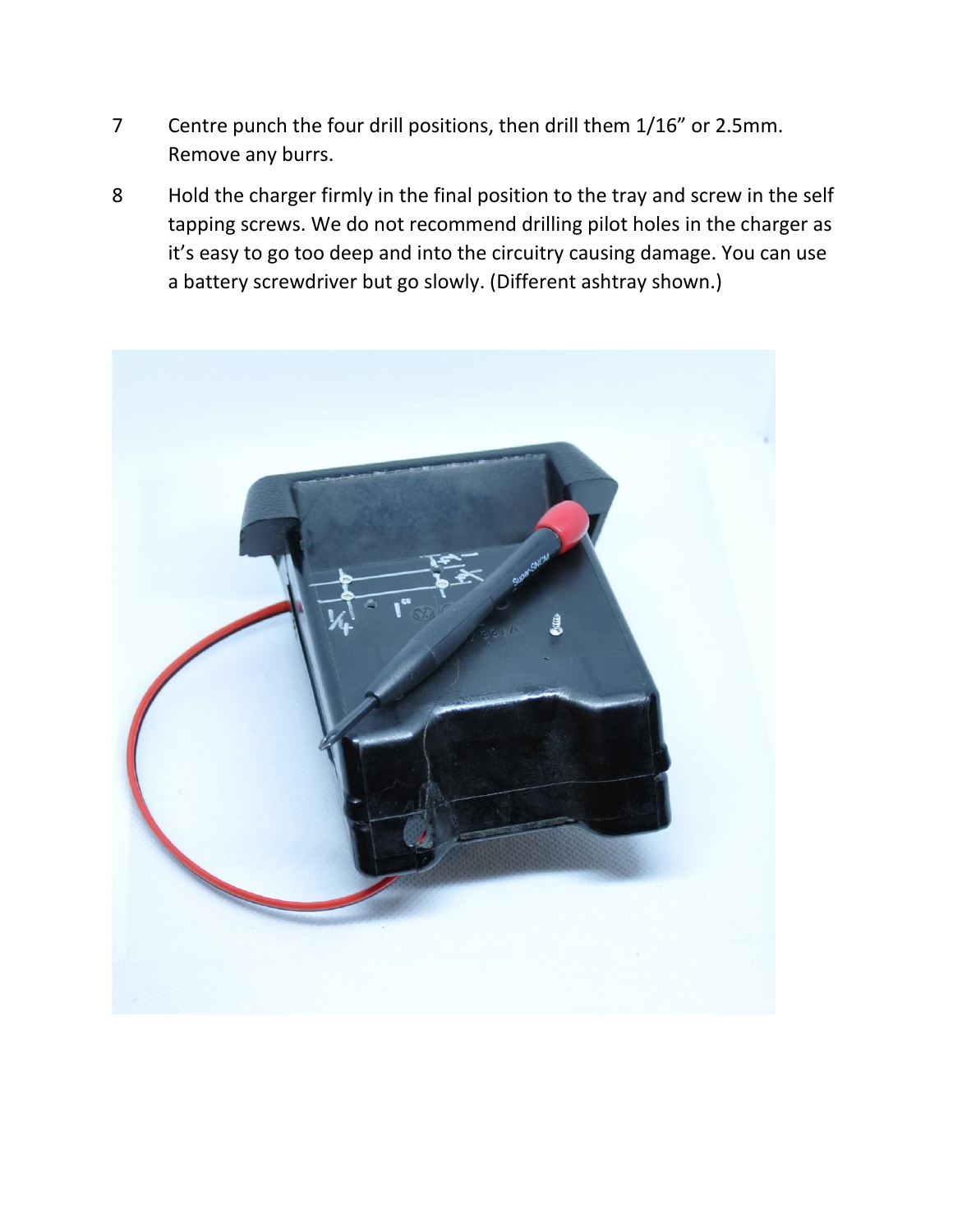- 7 Centre punch the four drill positions, then drill them 1/16" or 2.5mm. Remove any burrs.
- 8 Hold the charger firmly in the final position to the tray and screw in the self tapping screws. We do not recommend drilling pilot holes in the charger as it's easy to go too deep and into the circuitry causing damage. You can use a battery screwdriver but go slowly. (Different ashtray shown.)